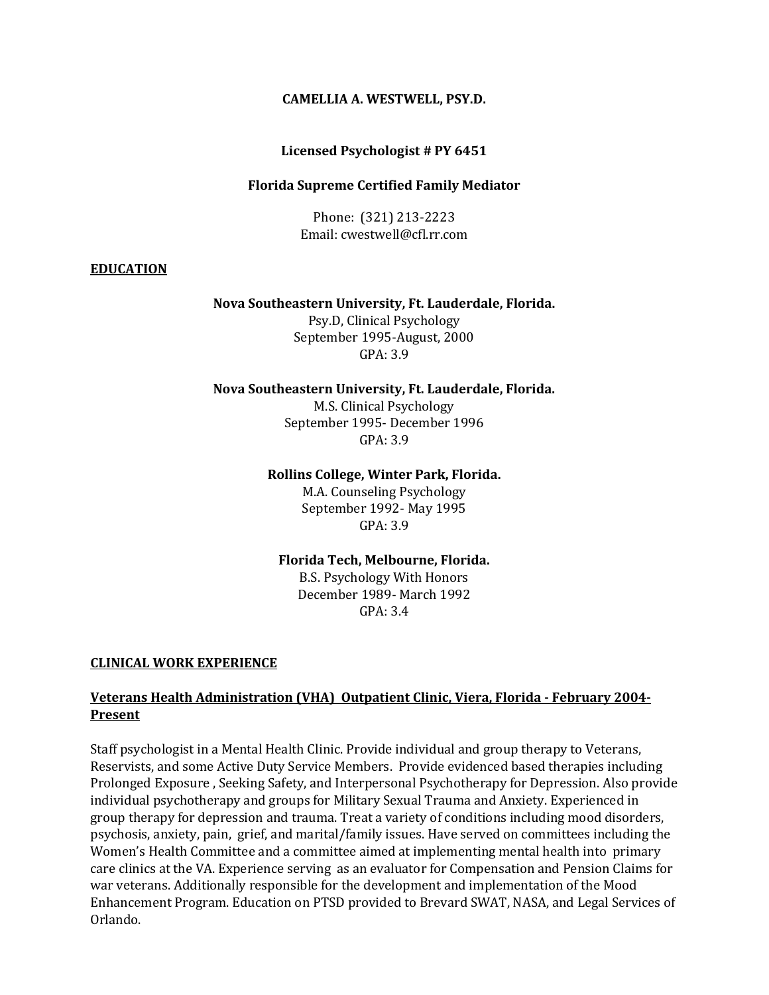### **CAMELLIA A. WESTWELL, PSY.D.**

### **Licensed Psychologist # PY 6451**

### **Florida Supreme Certified Family Mediator**

Phone: (321) 213-2223 Email: cwestwell@cfl.rr.com

### **EDUCATION**

### **Nova Southeastern University, Ft. Lauderdale, Florida.**

Psy.D, Clinical Psychology September 1995-August, 2000 GPA: 3.9

#### **Nova Southeastern University, Ft. Lauderdale, Florida.**

M.S. Clinical Psychology September 1995- December 1996 GPA: 3.9

#### **Rollins College, Winter Park, Florida.**

M.A. Counseling Psychology September 1992- May 1995 GPA: 3.9

### **Florida Tech, Melbourne, Florida.**

B.S. Psychology With Honors December 1989- March 1992  $GPA.34$ 

### **CLINICAL WORK EXPERIENCE**

### **Veterans Health Administration (VHA) Outpatient Clinic, Viera, Florida - February 2004- Present**

Staff psychologist in a Mental Health Clinic. Provide individual and group therapy to Veterans, Reservists, and some Active Duty Service Members. Provide evidenced based therapies including Prolonged Exposure , Seeking Safety, and Interpersonal Psychotherapy for Depression. Also provide individual psychotherapy and groups for Military Sexual Trauma and Anxiety. Experienced in group therapy for depression and trauma. Treat a variety of conditions including mood disorders, psychosis, anxiety, pain, grief, and marital/family issues. Have served on committees including the Women's Health Committee and a committee aimed at implementing mental health into primary care clinics at the VA. Experience serving as an evaluator for Compensation and Pension Claims for war veterans. Additionally responsible for the development and implementation of the Mood Enhancement Program. Education on PTSD provided to Brevard SWAT, NASA, and Legal Services of Orlando.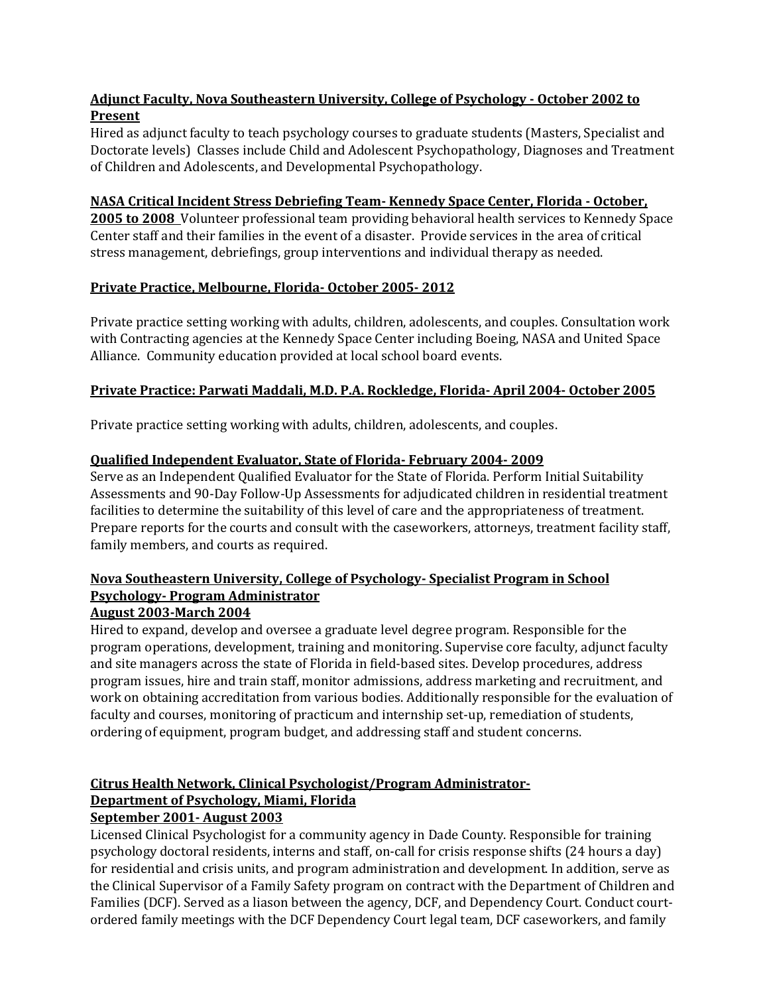## **Adjunct Faculty, Nova Southeastern University, College of Psychology - October 2002 to Present**

Hired as adjunct faculty to teach psychology courses to graduate students (Masters, Specialist and Doctorate levels) Classes include Child and Adolescent Psychopathology, Diagnoses and Treatment of Children and Adolescents, and Developmental Psychopathology.

### **NASA Critical Incident Stress Debriefing Team- Kennedy Space Center, Florida - October,**

**2005 to 2008** Volunteer professional team providing behavioral health services to Kennedy Space Center staff and their families in the event of a disaster. Provide services in the area of critical stress management, debriefings, group interventions and individual therapy as needed.

## **Private Practice, Melbourne, Florida- October 2005- 2012**

Private practice setting working with adults, children, adolescents, and couples. Consultation work with Contracting agencies at the Kennedy Space Center including Boeing, NASA and United Space Alliance. Community education provided at local school board events.

## **Private Practice: Parwati Maddali, M.D. P.A. Rockledge, Florida- April 2004- October 2005**

Private practice setting working with adults, children, adolescents, and couples.

## **Qualified Independent Evaluator, State of Florida- February 2004- 2009**

Serve as an Independent Qualified Evaluator for the State of Florida. Perform Initial Suitability Assessments and 90-Day Follow-Up Assessments for adjudicated children in residential treatment facilities to determine the suitability of this level of care and the appropriateness of treatment. Prepare reports for the courts and consult with the caseworkers, attorneys, treatment facility staff, family members, and courts as required.

## **Nova Southeastern University, College of Psychology- Specialist Program in School Psychology- Program Administrator**

## **August 2003-March 2004**

Hired to expand, develop and oversee a graduate level degree program. Responsible for the program operations, development, training and monitoring. Supervise core faculty, adjunct faculty and site managers across the state of Florida in field-based sites. Develop procedures, address program issues, hire and train staff, monitor admissions, address marketing and recruitment, and work on obtaining accreditation from various bodies. Additionally responsible for the evaluation of faculty and courses, monitoring of practicum and internship set-up, remediation of students, ordering of equipment, program budget, and addressing staff and student concerns.

## **Citrus Health Network, Clinical Psychologist/Program Administrator-Department of Psychology, Miami, Florida**

## **September 2001- August 2003**

Licensed Clinical Psychologist for a community agency in Dade County. Responsible for training psychology doctoral residents, interns and staff, on-call for crisis response shifts (24 hours a day) for residential and crisis units, and program administration and development. In addition, serve as the Clinical Supervisor of a Family Safety program on contract with the Department of Children and Families (DCF). Served as a liason between the agency, DCF, and Dependency Court. Conduct courtordered family meetings with the DCF Dependency Court legal team, DCF caseworkers, and family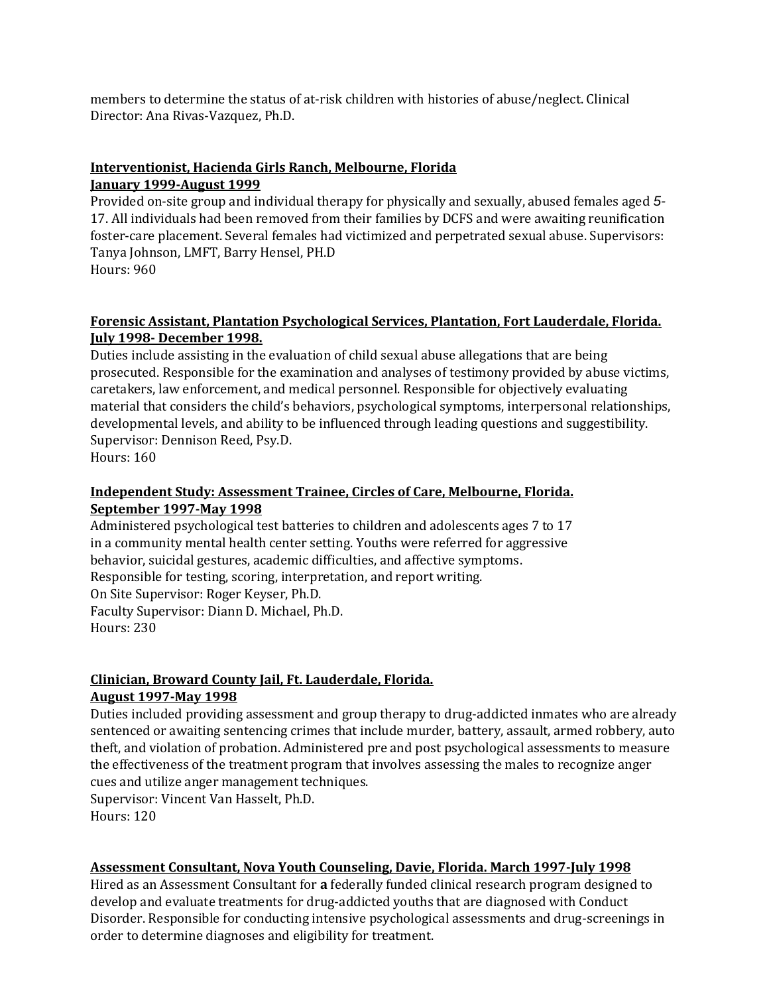members to determine the status of at-risk children with histories of abuse/neglect. Clinical Director: Ana Rivas-Vazquez, Ph.D.

## **Interventionist, Hacienda Girls Ranch, Melbourne, Florida January 1999-August 1999**

Provided on-site group and individual therapy for physically and sexually, abused females aged *5-* 17. All individuals had been removed from their families by DCFS and were awaiting reunification foster-care placement. Several females had victimized and perpetrated sexual abuse. Supervisors: Tanya Johnson, LMFT, Barry Hensel, PH.D Hours: 960

### **Forensic Assistant, Plantation Psychological Services, Plantation, Fort Lauderdale, Florida. July 1998- December 1998.**

Duties include assisting in the evaluation of child sexual abuse allegations that are being prosecuted. Responsible for the examination and analyses of testimony provided by abuse victims, caretakers, law enforcement, and medical personnel. Responsible for objectively evaluating material that considers the child's behaviors, psychological symptoms, interpersonal relationships, developmental levels, and ability to be influenced through leading questions and suggestibility. Supervisor: Dennison Reed, Psy.D.

Hours: 160

## **Independent Study: Assessment Trainee, Circles of Care, Melbourne, Florida. September 1997-May 1998**

Administered psychological test batteries to children and adolescents ages 7 to 17 in a community mental health center setting. Youths were referred for aggressive behavior, suicidal gestures, academic difficulties, and affective symptoms. Responsible for testing, scoring, interpretation, and report writing. On Site Supervisor: Roger Keyser, Ph.D. Faculty Supervisor: Diann D. Michael, Ph.D. Hours: 230

# **Clinician, Broward County Jail, Ft. Lauderdale, Florida.**

### **August 1997-May 1998**

Duties included providing assessment and group therapy to drug-addicted inmates who are already sentenced or awaiting sentencing crimes that include murder, battery, assault, armed robbery, auto theft, and violation of probation. Administered pre and post psychological assessments to measure the effectiveness of the treatment program that involves assessing the males to recognize anger cues and utilize anger management techniques. Supervisor: Vincent Van Hasselt, Ph.D.

Hours: 120

## **Assessment Consultant, Nova Youth Counseling, Davie, Florida. March 1997-July 1998**

Hired as an Assessment Consultant for **a** federally funded clinical research program designed to develop and evaluate treatments for drug-addicted youths that are diagnosed with Conduct Disorder. Responsible for conducting intensive psychological assessments and drug-screenings in order to determine diagnoses and eligibility for treatment.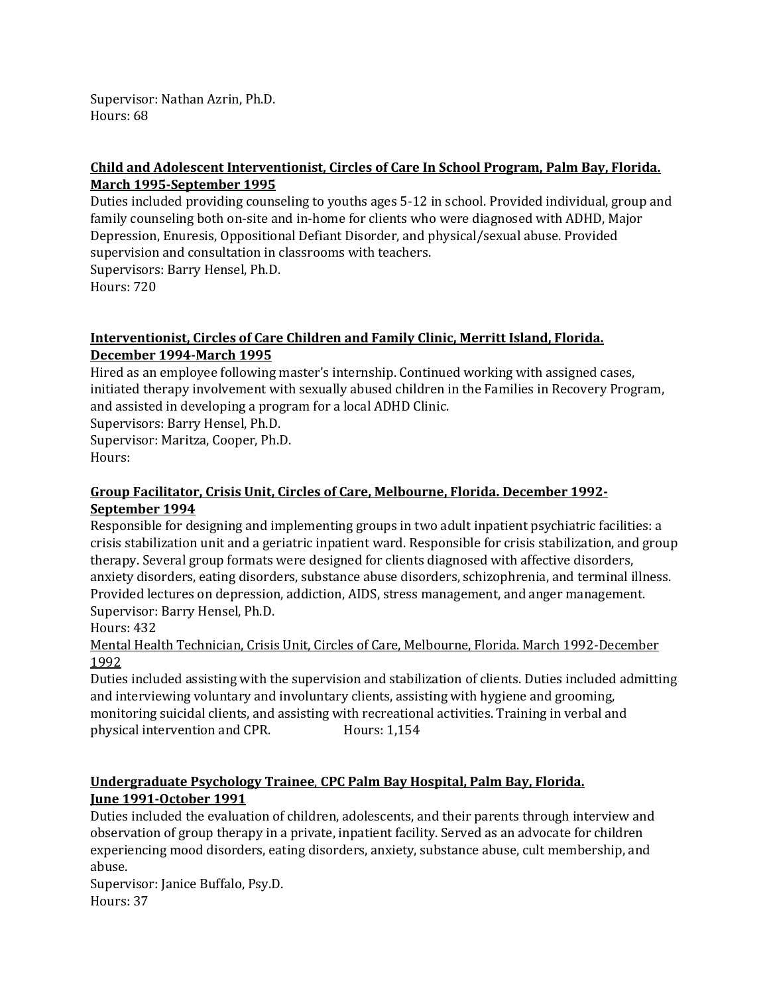Supervisor: Nathan Azrin, Ph.D. Hours: 68

### **Child and Adolescent Interventionist, Circles of Care In School Program, Palm Bay, Florida. March 1995-September 1995**

Duties included providing counseling to youths ages 5-12 in school. Provided individual, group and family counseling both on-site and in-home for clients who were diagnosed with ADHD, Major Depression, Enuresis, Oppositional Defiant Disorder, and physical/sexual abuse. Provided supervision and consultation in classrooms with teachers.

Supervisors: Barry Hensel, Ph.D.

Hours: 720

### **Interventionist, Circles of Care Children and Family Clinic, Merritt Island, Florida. December 1994-March 1995**

Hired as an employee following master's internship. Continued working with assigned cases, initiated therapy involvement with sexually abused children in the Families in Recovery Program, and assisted in developing a program for a local ADHD Clinic.

Supervisors: Barry Hensel, Ph.D.

Supervisor: Maritza, Cooper, Ph.D. Hours:

### **Group Facilitator, Crisis Unit, Circles of Care, Melbourne, Florida. December 1992- September 1994**

Responsible for designing and implementing groups in two adult inpatient psychiatric facilities: a crisis stabilization unit and a geriatric inpatient ward. Responsible for crisis stabilization, and group therapy. Several group formats were designed for clients diagnosed with affective disorders, anxiety disorders, eating disorders, substance abuse disorders, schizophrenia, and terminal illness. Provided lectures on depression, addiction, AIDS, stress management, and anger management. Supervisor: Barry Hensel, Ph.D.

Hours: 432

Mental Health Technician, Crisis Unit, Circles of Care, Melbourne, Florida. March 1992-December 1992

Duties included assisting with the supervision and stabilization of clients. Duties included admitting and interviewing voluntary and involuntary clients, assisting with hygiene and grooming, monitoring suicidal clients, and assisting with recreational activities. Training in verbal and physical intervention and CPR. Hours: 1,154

### **Undergraduate Psychology Trainee**, **CPC Palm Bay Hospital, Palm Bay, Florida. June 1991-October 1991**

Duties included the evaluation of children, adolescents, and their parents through interview and observation of group therapy in a private, inpatient facility. Served as an advocate for children experiencing mood disorders, eating disorders, anxiety, substance abuse, cult membership, and abuse.

Supervisor: Janice Buffalo, Psy.D. Hours: 37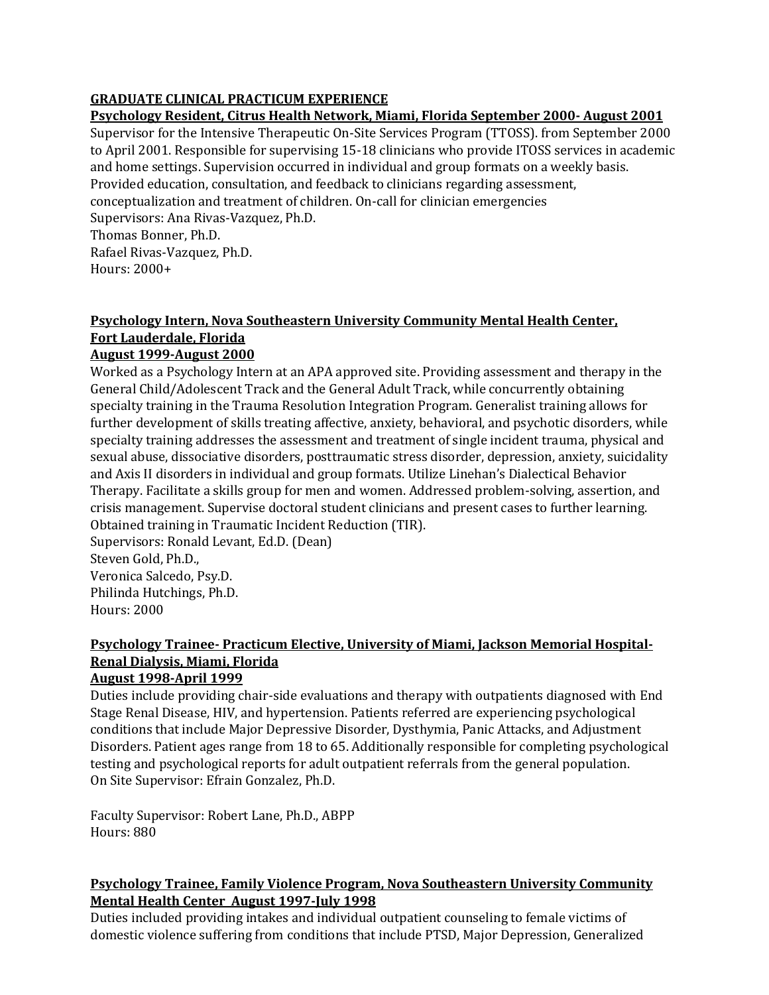## **GRADUATE CLINICAL PRACTICUM EXPERIENCE**

### **Psychology Resident, Citrus Health Network, Miami, Florida September 2000- August 2001**

Supervisor for the Intensive Therapeutic On-Site Services Program (TTOSS). from September 2000 to April 2001. Responsible for supervising 15-18 clinicians who provide ITOSS services in academic and home settings. Supervision occurred in individual and group formats on a weekly basis. Provided education, consultation, and feedback to clinicians regarding assessment, conceptualization and treatment of children. On-call for clinician emergencies Supervisors: Ana Rivas-Vazquez, Ph.D. Thomas Bonner, Ph.D.

Rafael Rivas-Vazquez, Ph.D. Hours: 2000+

## **Psychology Intern, Nova Southeastern University Community Mental Health Center, Fort Lauderdale, Florida**

### **August 1999-August 2000**

Worked as a Psychology Intern at an APA approved site. Providing assessment and therapy in the General Child/Adolescent Track and the General Adult Track, while concurrently obtaining specialty training in the Trauma Resolution Integration Program. Generalist training allows for further development of skills treating affective, anxiety, behavioral, and psychotic disorders, while specialty training addresses the assessment and treatment of single incident trauma, physical and sexual abuse, dissociative disorders, posttraumatic stress disorder, depression, anxiety, suicidality and Axis II disorders in individual and group formats. Utilize Linehan's Dialectical Behavior Therapy. Facilitate a skills group for men and women. Addressed problem-solving, assertion, and crisis management. Supervise doctoral student clinicians and present cases to further learning. Obtained training in Traumatic Incident Reduction (TIR). Supervisors: Ronald Levant, Ed.D. (Dean)

Steven Gold, Ph.D., Veronica Salcedo, Psy.D. Philinda Hutchings, Ph.D. Hours: 2000

## **Psychology Trainee- Practicum Elective, University of Miami, Jackson Memorial Hospital-Renal Dialysis, Miami, Florida**

### **August 1998-April 1999**

Duties include providing chair-side evaluations and therapy with outpatients diagnosed with End Stage Renal Disease, HIV, and hypertension. Patients referred are experiencing psychological conditions that include Major Depressive Disorder, Dysthymia, Panic Attacks, and Adjustment Disorders. Patient ages range from 18 to 65. Additionally responsible for completing psychological testing and psychological reports for adult outpatient referrals from the general population. On Site Supervisor: Efrain Gonzalez, Ph.D.

Faculty Supervisor: Robert Lane, Ph.D., ABPP Hours: 880

## **Psychology Trainee, Family Violence Program, Nova Southeastern University Community Mental Health Center August 1997-July 1998**

Duties included providing intakes and individual outpatient counseling to female victims of domestic violence suffering from conditions that include PTSD, Major Depression, Generalized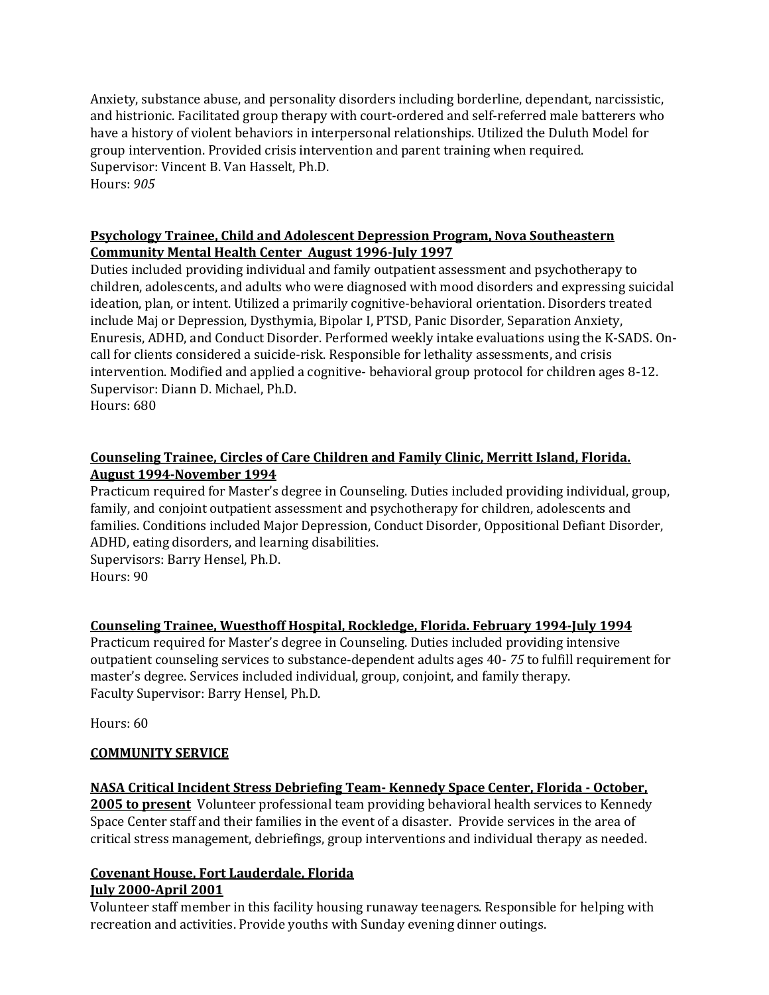Anxiety, substance abuse, and personality disorders including borderline, dependant, narcissistic, and histrionic. Facilitated group therapy with court-ordered and self-referred male batterers who have a history of violent behaviors in interpersonal relationships. Utilized the Duluth Model for group intervention. Provided crisis intervention and parent training when required. Supervisor: Vincent B. Van Hasselt, Ph.D. Hours: *905* 

### **Psychology Trainee, Child and Adolescent Depression Program, Nova Southeastern Community Mental Health Center August 1996-July 1997**

Duties included providing individual and family outpatient assessment and psychotherapy to children, adolescents, and adults who were diagnosed with mood disorders and expressing suicidal ideation, plan, or intent. Utilized a primarily cognitive-behavioral orientation. Disorders treated include Maj or Depression, Dysthymia, Bipolar I, PTSD, Panic Disorder, Separation Anxiety, Enuresis, ADHD, and Conduct Disorder. Performed weekly intake evaluations using the K-SADS. Oncall for clients considered a suicide-risk. Responsible for lethality assessments, and crisis intervention. Modified and applied a cognitive- behavioral group protocol for children ages 8-12. Supervisor: Diann D. Michael, Ph.D. Hours: 680

### **Counseling Trainee, Circles of Care Children and Family Clinic, Merritt Island, Florida. August 1994-November 1994**

Practicum required for Master's degree in Counseling. Duties included providing individual, group, family, and conjoint outpatient assessment and psychotherapy for children, adolescents and families. Conditions included Major Depression, Conduct Disorder, Oppositional Defiant Disorder, ADHD, eating disorders, and learning disabilities.

Supervisors: Barry Hensel, Ph.D. Hours: 90

## **Counseling Trainee, Wuesthoff Hospital, Rockledge, Florida. February 1994-July 1994**

Practicum required for Master's degree in Counseling. Duties included providing intensive outpatient counseling services to substance-dependent adults ages 40- *75* to fulfill requirement for master's degree. Services included individual, group, conjoint, and family therapy. Faculty Supervisor: Barry Hensel, Ph.D.

Hours: 60

## **COMMUNITY SERVICE**

## **NASA Critical Incident Stress Debriefing Team- Kennedy Space Center, Florida - October,**

**2005 to present** Volunteer professional team providing behavioral health services to Kennedy Space Center staff and their families in the event of a disaster. Provide services in the area of critical stress management, debriefings, group interventions and individual therapy as needed.

### **Covenant House, Fort Lauderdale, Florida July 2000-April 2001**

Volunteer staff member in this facility housing runaway teenagers. Responsible for helping with recreation and activities. Provide youths with Sunday evening dinner outings.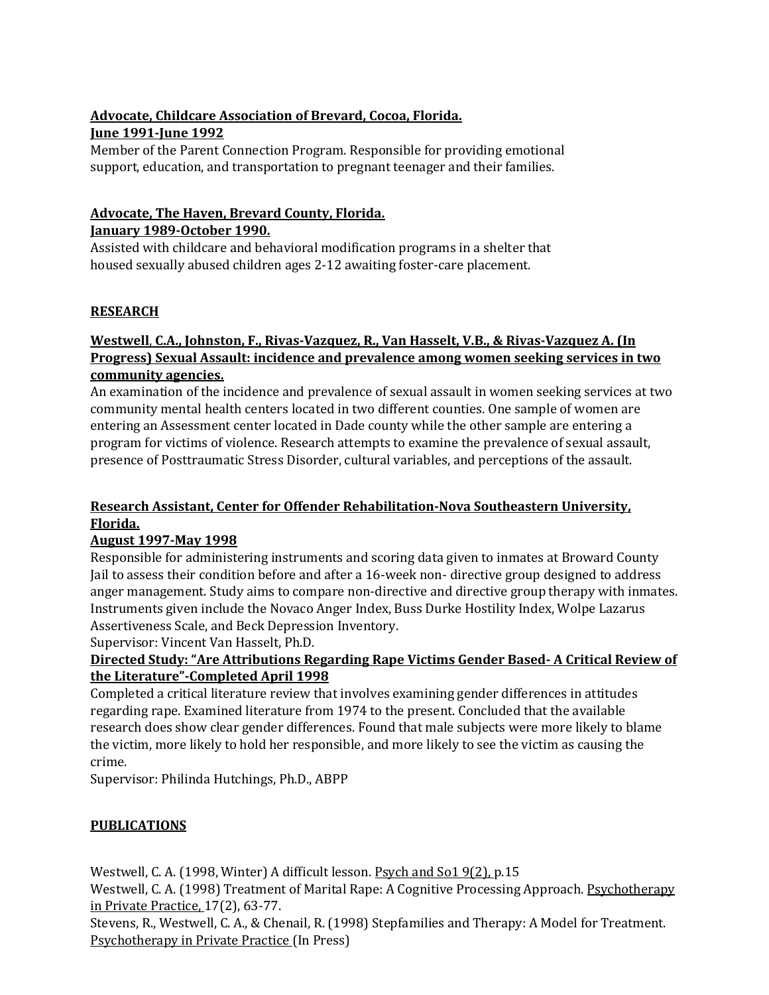## **Advocate, Childcare Association of Brevard, Cocoa, Florida. June 1991-June 1992**

Member of the Parent Connection Program. Responsible for providing emotional support, education, and transportation to pregnant teenager and their families.

### **Advocate, The Haven, Brevard County, Florida. January 1989-October 1990.**

Assisted with childcare and behavioral modification programs in a shelter that housed sexually abused children ages 2-12 awaiting foster-care placement.

## **RESEARCH**

### **Westwell**, **C.A., Johnston, F., Rivas-Vazquez, R., Van Hasselt, V.B., & Rivas-Vazquez A. (In Progress) Sexual Assault: incidence and prevalence among women seeking services in two community agencies.**

An examination of the incidence and prevalence of sexual assault in women seeking services at two community mental health centers located in two different counties. One sample of women are entering an Assessment center located in Dade county while the other sample are entering a program for victims of violence. Research attempts to examine the prevalence of sexual assault, presence of Posttraumatic Stress Disorder, cultural variables, and perceptions of the assault.

## **Research Assistant, Center for Offender Rehabilitation-Nova Southeastern University, Florida.**

## **August 1997-May 1998**

Responsible for administering instruments and scoring data given to inmates at Broward County Jail to assess their condition before and after a 16-week non- directive group designed to address anger management. Study aims to compare non-directive and directive group therapy with inmates. Instruments given include the Novaco Anger Index, Buss Durke Hostility Index, Wolpe Lazarus Assertiveness Scale, and Beck Depression Inventory.

Supervisor: Vincent Van Hasselt, Ph.D.

## **Directed Study: "Are Attributions Regarding Rape Victims Gender Based- A Critical Review of the Literature"-Completed April 1998**

Completed a critical literature review that involves examining gender differences in attitudes regarding rape. Examined literature from 1974 to the present. Concluded that the available research does show clear gender differences. Found that male subjects were more likely to blame the victim, more likely to hold her responsible, and more likely to see the victim as causing the crime.

Supervisor: Philinda Hutchings, Ph.D., ABPP

## **PUBLICATIONS**

Westwell, C. A. (1998, Winter) A difficult lesson. Psych and So1 9(2), p.15

Westwell, C. A. (1998) Treatment of Marital Rape: A Cognitive Processing Approach. Psychotherapy in Private Practice, 17(2), 63-77.

Stevens, R., Westwell, C. A., & Chenail, R. (1998) Stepfamilies and Therapy: A Model for Treatment. Psychotherapy in Private Practice (In Press)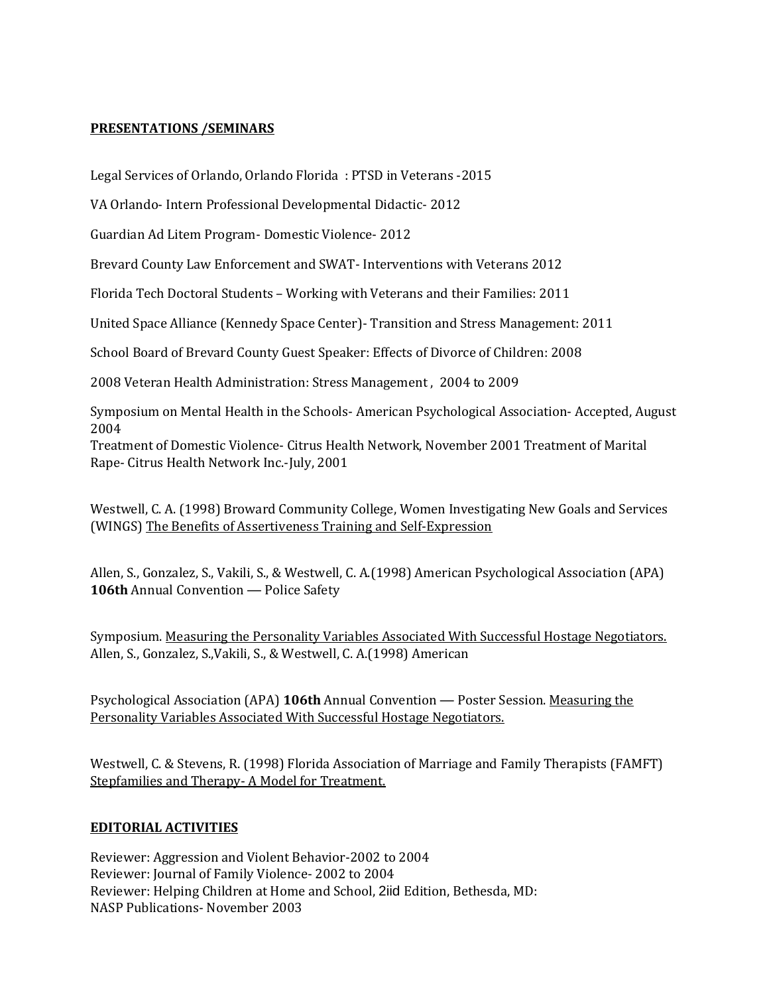### **PRESENTATIONS /SEMINARS**

Legal Services of Orlando, Orlando Florida : PTSD in Veterans -2015

VA Orlando- Intern Professional Developmental Didactic- 2012

Guardian Ad Litem Program- Domestic Violence- 2012

Brevard County Law Enforcement and SWAT- Interventions with Veterans 2012

Florida Tech Doctoral Students – Working with Veterans and their Families: 2011

United Space Alliance (Kennedy Space Center)- Transition and Stress Management: 2011

School Board of Brevard County Guest Speaker: Effects of Divorce of Children: 2008

2008 Veteran Health Administration: Stress Management , 2004 to 2009

Symposium on Mental Health in the Schools- American Psychological Association- Accepted, August 2004

Treatment of Domestic Violence- Citrus Health Network, November 2001 Treatment of Marital Rape- Citrus Health Network Inc.-July, 2001

Westwell, C. A. (1998) Broward Community College, Women Investigating New Goals and Services (WINGS) The Benefits of Assertiveness Training and Self-Expression

Allen, S., Gonzalez, S., Vakili, S., & Westwell, C. A.(1998) American Psychological Association (APA) 106th Annual Convention — Police Safety

Symposium. Measuring the Personality Variables Associated With Successful Hostage Negotiators. Allen, S., Gonzalez, S.,Vakili, S., & Westwell, C. A.(1998) American

Psychological Association (APA) **106th** Annual Convention — Poster Session. Measuring the Personality Variables Associated With Successful Hostage Negotiators.

Westwell, C. & Stevens, R. (1998) Florida Association of Marriage and Family Therapists (FAMFT) Stepfamilies and Therapy- A Model for Treatment.

### **EDITORIAL ACTIVITIES**

Reviewer: Aggression and Violent Behavior-2002 to 2004 Reviewer: Journal of Family Violence- 2002 to 2004 Reviewer: Helping Children at Home and School, 2iid Edition, Bethesda, MD: NASP Publications- November 2003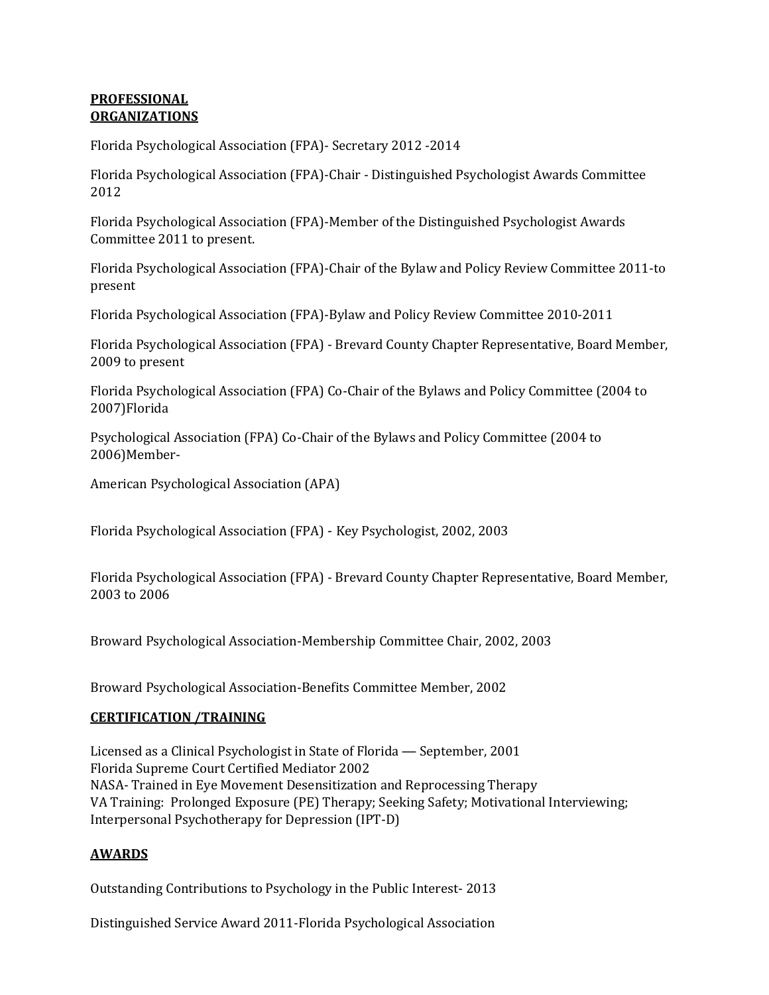### **PROFESSIONAL ORGANIZATIONS**

Florida Psychological Association (FPA)- Secretary 2012 -2014

Florida Psychological Association (FPA)-Chair - Distinguished Psychologist Awards Committee 2012

Florida Psychological Association (FPA)-Member of the Distinguished Psychologist Awards Committee 2011 to present.

Florida Psychological Association (FPA)-Chair of the Bylaw and Policy Review Committee 2011-to present

Florida Psychological Association (FPA)-Bylaw and Policy Review Committee 2010-2011

Florida Psychological Association (FPA) - Brevard County Chapter Representative, Board Member, 2009 to present

Florida Psychological Association (FPA) Co-Chair of the Bylaws and Policy Committee (2004 to 2007)Florida

Psychological Association (FPA) Co-Chair of the Bylaws and Policy Committee (2004 to 2006)Member-

American Psychological Association (APA)

Florida Psychological Association (FPA) - Key Psychologist, 2002, 2003

Florida Psychological Association (FPA) - Brevard County Chapter Representative, Board Member, 2003 to 2006

Broward Psychological Association-Membership Committee Chair, 2002, 2003

Broward Psychological Association-Benefits Committee Member, 2002

### **CERTIFICATION /TRAINING**

Licensed as a Clinical Psychologist in State of Florida — September, 2001 Florida Supreme Court Certified Mediator 2002 NASA- Trained in Eye Movement Desensitization and Reprocessing Therapy VA Training: Prolonged Exposure (PE) Therapy; Seeking Safety; Motivational Interviewing; Interpersonal Psychotherapy for Depression (IPT-D)

### **AWARDS**

Outstanding Contributions to Psychology in the Public Interest- 2013

Distinguished Service Award 2011-Florida Psychological Association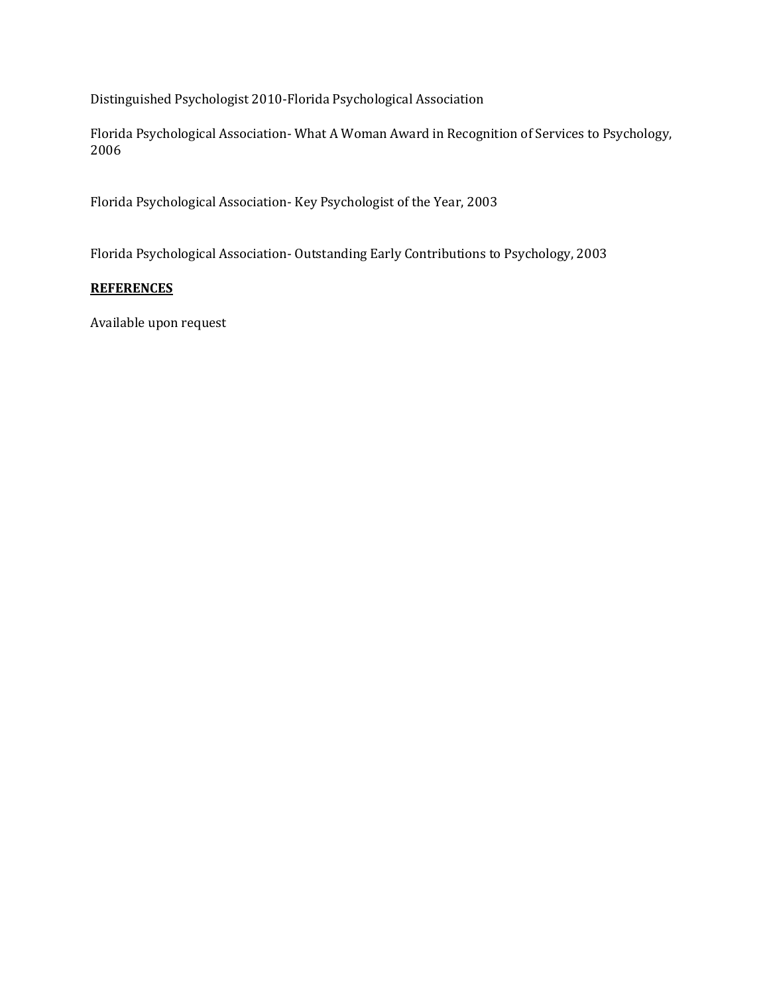Distinguished Psychologist 2010-Florida Psychological Association

Florida Psychological Association- What A Woman Award in Recognition of Services to Psychology, 2006

Florida Psychological Association- Key Psychologist of the Year, 2003

Florida Psychological Association- Outstanding Early Contributions to Psychology, 2003

### **REFERENCES**

Available upon request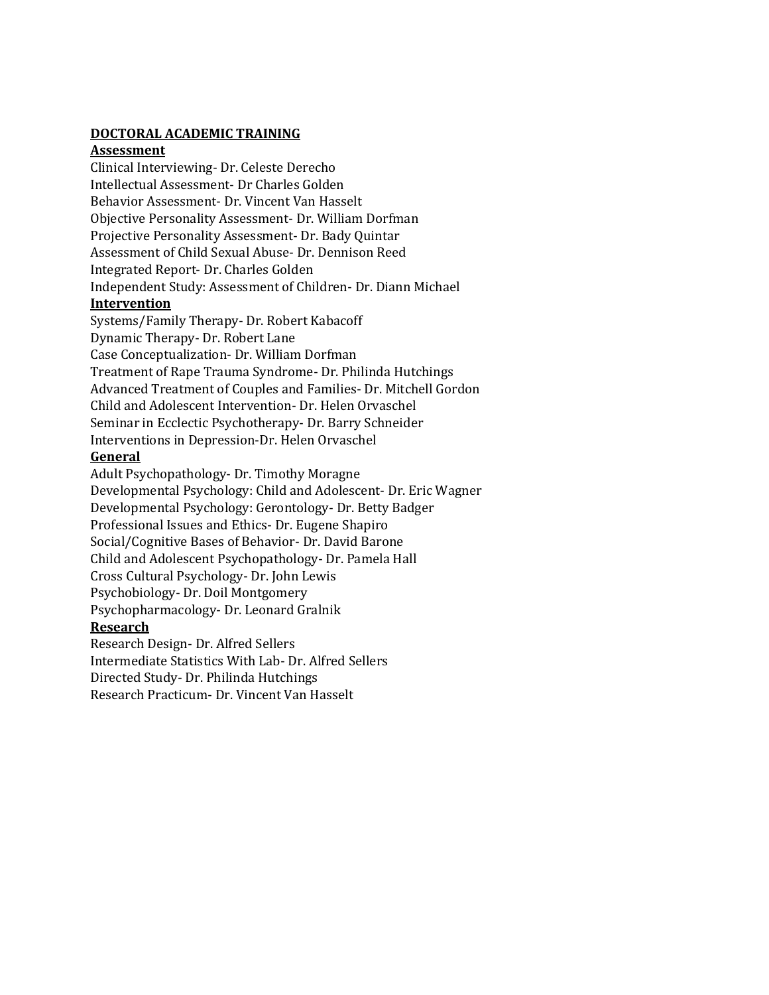### **DOCTORAL ACADEMIC TRAINING**

### **Assessment**

Clinical Interviewing- Dr. Celeste Derecho Intellectual Assessment- Dr Charles Golden Behavior Assessment- Dr. Vincent Van Hasselt Objective Personality Assessment- Dr. William Dorfman Projective Personality Assessment- Dr. Bady Quintar Assessment of Child Sexual Abuse- Dr. Dennison Reed Integrated Report- Dr. Charles Golden Independent Study: Assessment of Children- Dr. Diann Michael

### **Intervention**

Systems/Family Therapy- Dr. Robert Kabacoff Dynamic Therapy- Dr. Robert Lane Case Conceptualization- Dr. William Dorfman Treatment of Rape Trauma Syndrome- Dr. Philinda Hutchings Advanced Treatment of Couples and Families- Dr. Mitchell Gordon Child and Adolescent Intervention- Dr. Helen Orvaschel Seminar in Ecclectic Psychotherapy- Dr. Barry Schneider Interventions in Depression-Dr. Helen Orvaschel

### **General**

Adult Psychopathology- Dr. Timothy Moragne Developmental Psychology: Child and Adolescent- Dr. Eric Wagner Developmental Psychology: Gerontology- Dr. Betty Badger Professional Issues and Ethics- Dr. Eugene Shapiro Social/Cognitive Bases of Behavior- Dr. David Barone Child and Adolescent Psychopathology- Dr. Pamela Hall Cross Cultural Psychology- Dr. John Lewis Psychobiology- Dr. Doil Montgomery Psychopharmacology- Dr. Leonard Gralnik **Research** 

Research Design- Dr. Alfred Sellers Intermediate Statistics With Lab- Dr. Alfred Sellers Directed Study- Dr. Philinda Hutchings Research Practicum- Dr. Vincent Van Hasselt